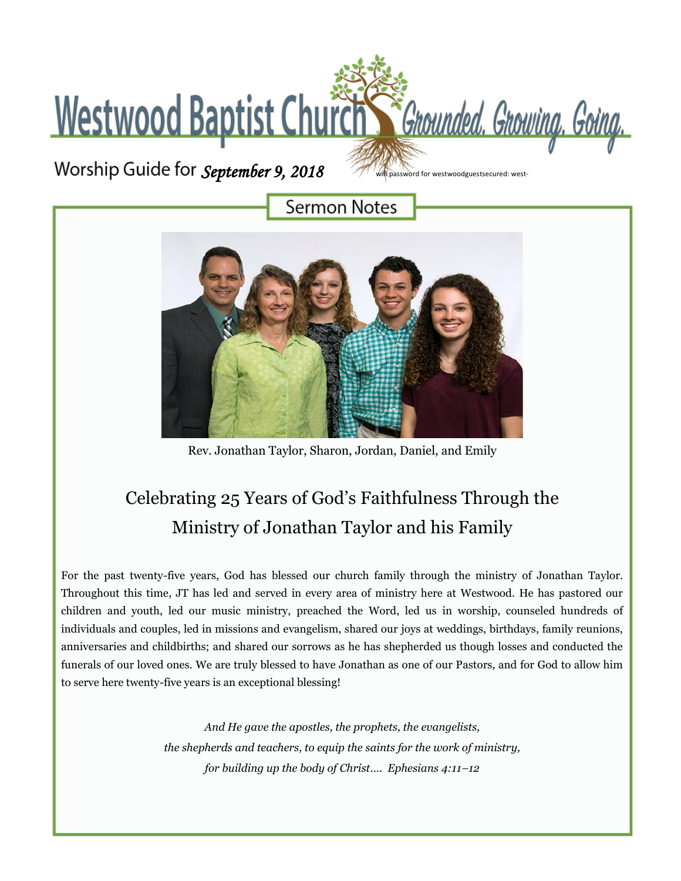## Westwood Baptist Church St Grounded. Growing. Going.

*September 9, 2018* 

ifi password for westwoodguestsecured: west-

**Sermon Notes** 



Rev. Jonathan Taylor, Sharon, Jordan, Daniel, and Emily

## Celebrating 25 Years of God's Faithfulness Through the Ministry of Jonathan Taylor and his Family

For the past twenty-five years, God has blessed our church family through the ministry of Jonathan Taylor. Throughout this time, JT has led and served in every area of ministry here at Westwood. He has pastored our children and youth, led our music ministry, preached the Word, led us in worship, counseled hundreds of individuals and couples, led in missions and evangelism, shared our joys at weddings, birthdays, family reunions, anniversaries and childbirths; and shared our sorrows as he has shepherded us though losses and conducted the funerals of our loved ones. We are truly blessed to have Jonathan as one of our Pastors, and for God to allow him to serve here twenty-five years is an exceptional blessing!

> *And He gave the apostles, the prophets, the evangelists, the shepherds and teachers, to equip the saints for the work of ministry, for building up the body of Christ…. Ephesians 4:11–12*